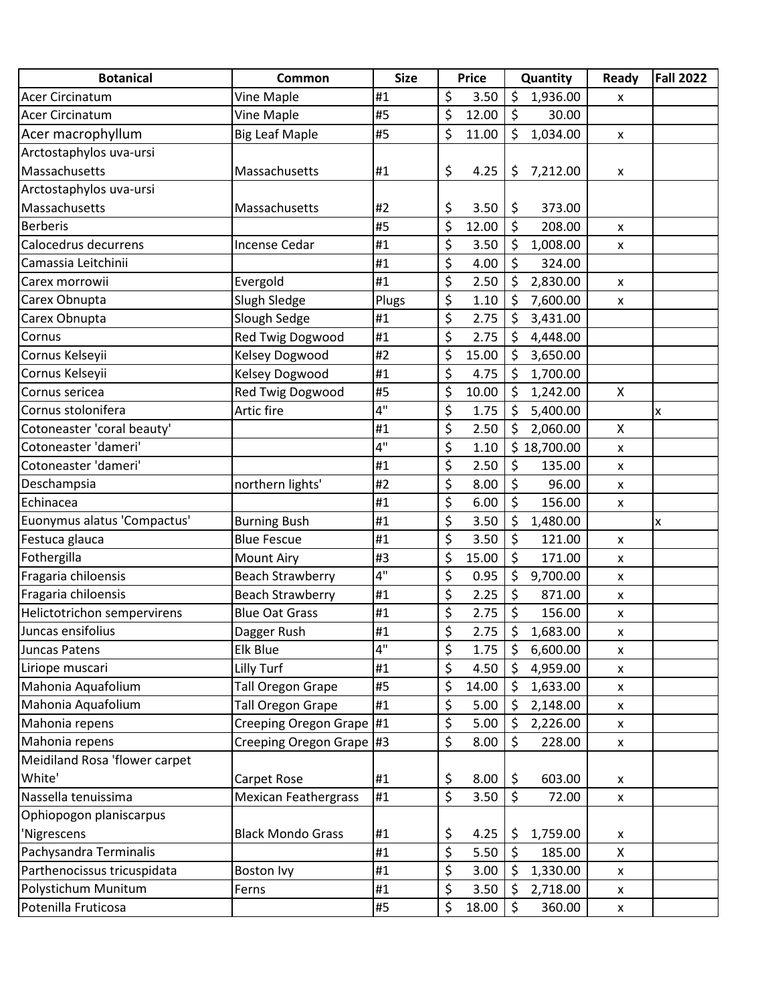| <b>Botanical</b>              | Common                      | <b>Size</b> | <b>Price</b>                    |       | Quantity                 |             | Ready              | <b>Fall 2022</b> |
|-------------------------------|-----------------------------|-------------|---------------------------------|-------|--------------------------|-------------|--------------------|------------------|
| <b>Acer Circinatum</b>        | Vine Maple                  | #1          | \$                              | 3.50  | \$                       | 1,936.00    | x                  |                  |
| <b>Acer Circinatum</b>        | Vine Maple                  | #5          | \$                              | 12.00 | \$                       | 30.00       |                    |                  |
| Acer macrophyllum             | <b>Big Leaf Maple</b>       | #5          | \$                              | 11.00 | \$                       | 1,034.00    | $\pmb{\mathsf{x}}$ |                  |
| Arctostaphylos uva-ursi       |                             |             |                                 |       |                          |             |                    |                  |
| Massachusetts                 | Massachusetts               | #1          | \$                              | 4.25  | \$                       | 7,212.00    | x                  |                  |
| Arctostaphylos uva-ursi       |                             |             |                                 |       |                          |             |                    |                  |
| Massachusetts                 | Massachusetts               | #2          | \$                              | 3.50  | \$                       | 373.00      |                    |                  |
| <b>Berberis</b>               |                             | #5          | \$                              | 12.00 | \$                       | 208.00      | $\pmb{\mathsf{x}}$ |                  |
| Calocedrus decurrens          | Incense Cedar               | #1          | \$                              | 3.50  | \$                       | 1,008.00    | X                  |                  |
| Camassia Leitchinii           |                             | #1          | \$                              | 4.00  | \$                       | 324.00      |                    |                  |
| Carex morrowii                | Evergold                    | #1          | \$                              | 2.50  | \$                       | 2,830.00    | X                  |                  |
| Carex Obnupta                 | Slugh Sledge                | Plugs       | $\overline{\boldsymbol{\zeta}}$ | 1.10  | \$                       | 7,600.00    | $\pmb{\mathsf{x}}$ |                  |
| Carex Obnupta                 | Slough Sedge                | #1          | \$                              | 2.75  | \$                       | 3,431.00    |                    |                  |
| Cornus                        | Red Twig Dogwood            | #1          | \$                              | 2.75  | \$                       | 4,448.00    |                    |                  |
| Cornus Kelseyii               | <b>Kelsey Dogwood</b>       | #2          | \$                              | 15.00 | \$                       | 3,650.00    |                    |                  |
| Cornus Kelseyii               | Kelsey Dogwood              | #1          | \$                              | 4.75  | \$                       | 1,700.00    |                    |                  |
| Cornus sericea                | Red Twig Dogwood            | #5          | \$                              | 10.00 | \$                       | 1,242.00    | X                  |                  |
| Cornus stolonifera            | Artic fire                  | 4"          | \$                              | 1.75  | \$                       | 5,400.00    |                    | x                |
| Cotoneaster 'coral beauty'    |                             | #1          | \$                              | 2.50  | \$                       | 2,060.00    | X                  |                  |
| Cotoneaster 'dameri'          |                             | 4"          | $\overline{\boldsymbol{\zeta}}$ | 1.10  |                          | \$18,700.00 | $\pmb{\mathsf{x}}$ |                  |
| Cotoneaster 'dameri'          |                             | #1          | \$                              | 2.50  | \$                       | 135.00      | x                  |                  |
| Deschampsia                   | northern lights'            | #2          | \$                              | 8.00  | \$                       | 96.00       | $\pmb{\mathsf{x}}$ |                  |
| Echinacea                     |                             | #1          | $\overline{\boldsymbol{\zeta}}$ | 6.00  | \$                       | 156.00      | $\pmb{\mathsf{x}}$ |                  |
| Euonymus alatus 'Compactus'   | <b>Burning Bush</b>         | #1          | \$                              | 3.50  | \$                       | 1,480.00    |                    | x                |
| Festuca glauca                | <b>Blue Fescue</b>          | #1          | \$                              | 3.50  | \$                       | 121.00      | X                  |                  |
| Fothergilla                   | <b>Mount Airy</b>           | #3          | \$                              | 15.00 | \$                       | 171.00      | x                  |                  |
| Fragaria chiloensis           | <b>Beach Strawberry</b>     | 4"          | $\overline{\boldsymbol{\zeta}}$ | 0.95  | \$                       | 9,700.00    | $\pmb{\mathsf{x}}$ |                  |
| Fragaria chiloensis           | <b>Beach Strawberry</b>     | #1          | \$                              | 2.25  | \$                       | 871.00      | X                  |                  |
| Helictotrichon sempervirens   | <b>Blue Oat Grass</b>       | #1          | \$                              | 2.75  | \$                       | 156.00      | $\pmb{\mathsf{x}}$ |                  |
| Juncas ensifolius             | Dagger Rush                 | #1          | Ś                               | 2.75  | \$                       | 1,683.00    | X                  |                  |
| Juncas Patens                 | Elk Blue                    | 4"          | \$                              | 1.75  | \$                       | 6,600.00    | X                  |                  |
| Liriope muscari               | Lilly Turf                  | #1          | \$                              | 4.50  | \$                       | 4,959.00    | $\pmb{\mathsf{x}}$ |                  |
| Mahonia Aquafolium            | <b>Tall Oregon Grape</b>    | #5          | \$                              | 14.00 | \$                       | 1,633.00    | x                  |                  |
| Mahonia Aquafolium            | <b>Tall Oregon Grape</b>    | #1          | \$                              | 5.00  | \$                       | 2,148.00    | X                  |                  |
| Mahonia repens                | Creeping Oregon Grape #1    |             | \$                              | 5.00  | \$                       | 2,226.00    | X                  |                  |
| Mahonia repens                | Creeping Oregon Grape #3    |             | \$                              | 8.00  | \$                       | 228.00      | X                  |                  |
| Meidiland Rosa 'flower carpet |                             |             |                                 |       |                          |             |                    |                  |
| White'                        | Carpet Rose                 | #1          | \$                              | 8.00  | \$                       | 603.00      | X                  |                  |
| Nassella tenuissima           | <b>Mexican Feathergrass</b> | #1          | \$                              | 3.50  | $\overline{\mathcal{S}}$ | 72.00       | $\pmb{\times}$     |                  |
| Ophiopogon planiscarpus       |                             |             |                                 |       |                          |             |                    |                  |
| 'Nigrescens                   | <b>Black Mondo Grass</b>    | #1          | \$                              | 4.25  | \$                       | 1,759.00    | X                  |                  |
| Pachysandra Terminalis        |                             | #1          | $\overline{\boldsymbol{\zeta}}$ | 5.50  | \$                       | 185.00      | Χ                  |                  |
| Parthenocissus tricuspidata   | <b>Boston Ivy</b>           | #1          | \$                              | 3.00  | \$                       | 1,330.00    | $\pmb{\mathsf{x}}$ |                  |
| Polystichum Munitum           | Ferns                       | #1          | \$                              | 3.50  | \$                       | 2,718.00    | $\pmb{\times}$     |                  |
| Potenilla Fruticosa           |                             | #5          | \$                              | 18.00 | \$                       | 360.00      | X                  |                  |